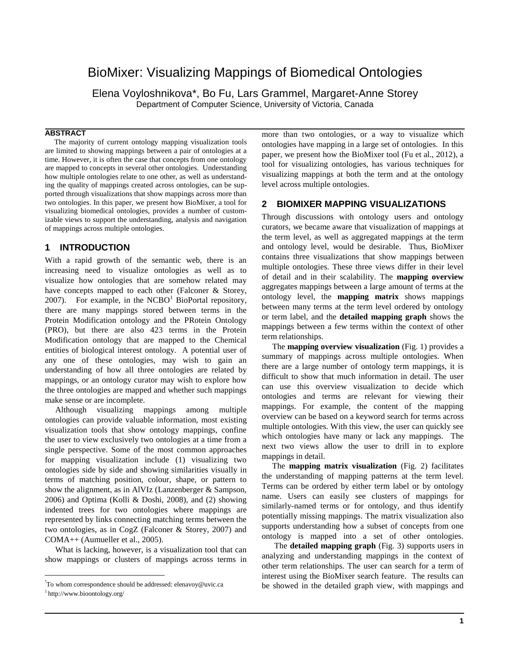# BioMixer: Visualizing Mappings of Biomedical Ontologies

Elena Voyloshnikova\*, Bo Fu, Lars Grammel, Margaret-Anne Storey Department of Computer Science, University of Victoria, Canada

#### **ABSTRACT**

The majority of current ontology mapping visualization tools are limited to showing mappings between a pair of ontologies at a time. However, it is often the case that concepts from one ontology are mapped to concepts in several other ontologies. Understanding how multiple ontologies relate to one other, as well as understanding the quality of mappings created across ontologies, can be supported through visualizations that show mappings across more than two ontologies. In this paper, we present how BioMixer, a tool for visualizing biomedical ontologies, provides a number of customizable views to support the understanding, analysis and navigation of mappings across multiple ontologies.

## **1 INTRODUCTION**

With a rapid growth of the semantic web, there is an increasing need to visualize ontologies as well as to visualize how ontologies that are somehow related may have concepts mapped to each other (Falconer & Storey, 2007). For example, in the  $NCBO<sup>1</sup>$  BioPortal repository, there are many mappings stored between terms in the Protein Modification ontology and the PRotein Ontology (PRO), but there are also 423 terms in the Protein Modification ontology that are mapped to the Chemical entities of biological interest ontology. A potential user of any one of these ontologies, may wish to gain an understanding of how all three ontologies are related by mappings, or an ontology curator may wish to explore how the three ontologies are mapped and whether such mappings make sense or are incomplete.

 Although visualizing mappings among multiple ontologies can provide valuable information, most existing visualization tools that show ontology mappings, confine the user to view exclusively two ontologies at a time from a single perspective. Some of the most common approaches for mapping visualization include (1) visualizing two ontologies side by side and showing similarities visually in terms of matching position, colour, shape, or pattern to show the alignment, as in AlVIz (Lanzenberger & Sampson, 2006) and Optima (Kolli & Doshi, 2008), and (2) showing indented trees for two ontologies where mappings are represented by links connecting matching terms between the two ontologies, as in CogZ (Falconer & Storey, 2007) and COMA++ (Aumueller et al., 2005).

 What is lacking, however, is a visualization tool that can show mappings or clusters of mappings across terms in

 $\overline{a}$ 

more than two ontologies, or a way to visualize which ontologies have mapping in a large set of ontologies. In this paper, we present how the BioMixer tool (Fu et al., 2012), a tool for visualizing ontologies, has various techniques for visualizing mappings at both the term and at the ontology level across multiple ontologies.

## **2 BIOMIXER MAPPING VISUALIZATIONS**

Through discussions with ontology users and ontology curators, we became aware that visualization of mappings at the term level, as well as aggregated mappings at the term and ontology level, would be desirable. Thus, BioMixer contains three visualizations that show mappings between multiple ontologies. These three views differ in their level of detail and in their scalability. The **mapping overview** aggregates mappings between a large amount of terms at the ontology level, the **mapping matrix** shows mappings between many terms at the term level ordered by ontology or term label, and the **detailed mapping graph** shows the mappings between a few terms within the context of other term relationships.

 The **mapping overview visualization** (Fig. 1) provides a summary of mappings across multiple ontologies. When there are a large number of ontology term mappings, it is difficult to show that much information in detail. The user can use this overview visualization to decide which ontologies and terms are relevant for viewing their mappings. For example, the content of the mapping overview can be based on a keyword search for terms across multiple ontologies. With this view, the user can quickly see which ontologies have many or lack any mappings. The next two views allow the user to drill in to explore mappings in detail.

 The **mapping matrix visualization** (Fig. 2) facilitates the understanding of mapping patterns at the term level. Terms can be ordered by either term label or by ontology name. Users can easily see clusters of mappings for similarly-named terms or for ontology, and thus identify potentially missing mappings. The matrix visualization also supports understanding how a subset of concepts from one ontology is mapped into a set of other ontologies.

 The **detailed mapping graph** (Fig. 3) supports users in analyzing and understanding mappings in the context of other term relationships. The user can search for a term of interest using the BioMixer search feature. The results can be showed in the detailed graph view, with mappings and

<sup>\*</sup> To whom correspondence should be addressed[: elenavoy@uvic.ca](mailto:elenavoy@uvic.ca)

<sup>1</sup>http://www.bioontology.org/